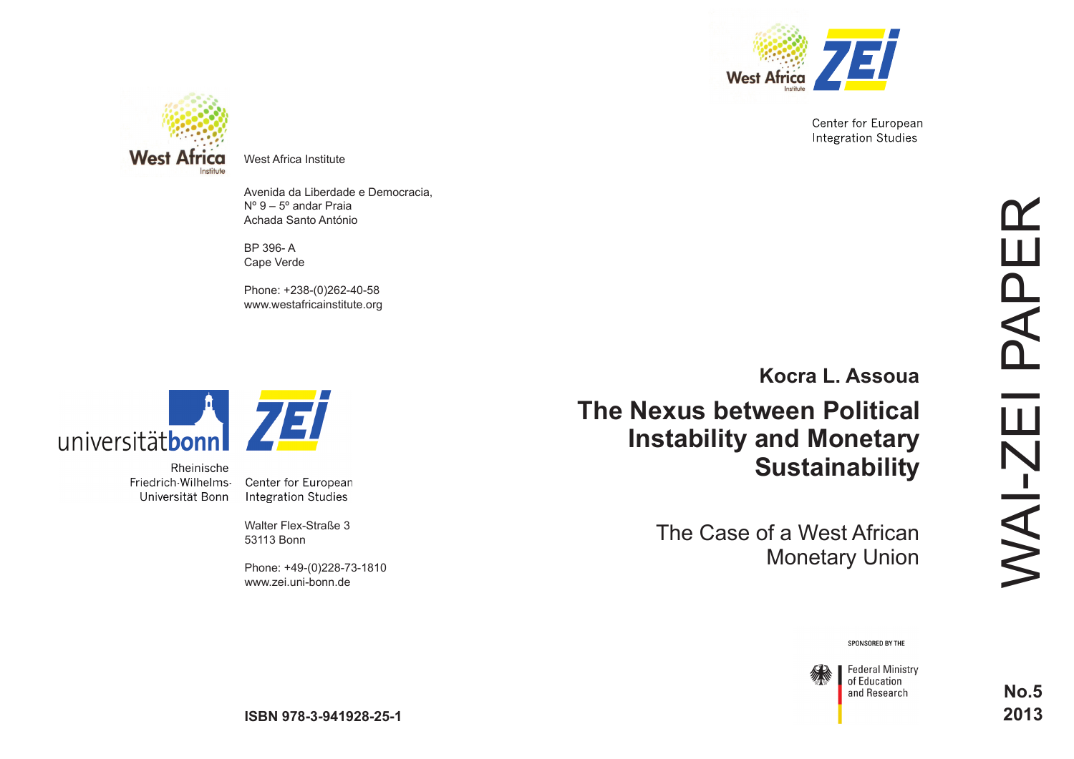

Center for European **Integration Studies** 



West Africa Institute

Avenida da Liberdade e Democracia, Nº 9 – 5º andar Praia Achada Santo António

BP 396- A Cape Verde

Phone: +238-(0)262-40-58 www.westafricainstitute.org



Rheinische Friedrich-Wilhelms-Universität Bonn

Center for European **Integration Studies** 

**TET** 

Walter Flex-Straße 3 53113 Bonn

Phone: +49-(0)228-73-1810 www.zei.uni-bonn.de

**[Kocra L. Assoua](http://www.entwicklungspolitik.uni-bayreuth.de/de/team/Assoua_Kocra/index.html)**

**The Nexus between Political Instability and Monetary Sustainability**

> The Case of a West African Monetary Union

SPONSORED BY THE



**No.5 2013**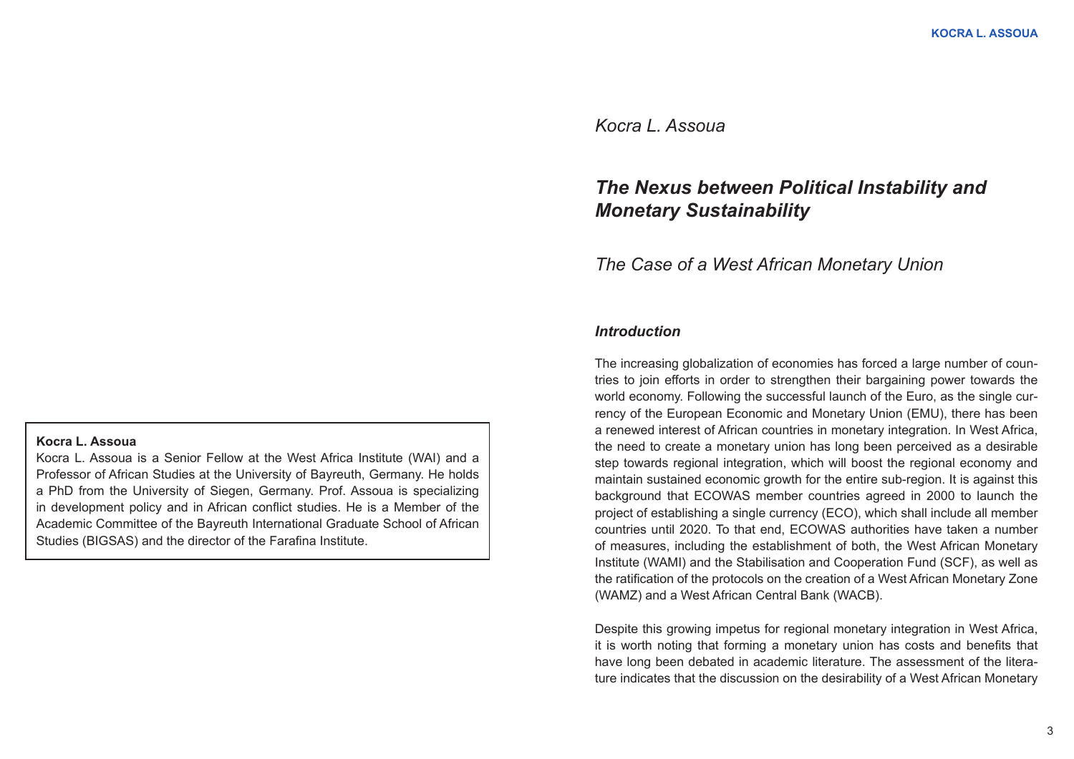# *Kocra L. Assoua*

# *The Nexus between Political Instability and Monetary Sustainability*

# *The Case of a West African Monetary Union*

## *Introduction*

The increasing globalization of economies has forced a large number of countries to join efforts in order to strengthen their bargaining power towards the world economy. Following the successful launch of the Euro, as the single currency of the European Economic and Monetary Union (EMU), there has been a renewed interest of African countries in monetary integration. In West Africa, the need to create a monetary union has long been perceived as a desirable step towards regional integration, which will boost the regional economy and maintain sustained economic growth for the entire sub-region. It is against this background that ECOWAS member countries agreed in 2000 to launch the project of establishing a single currency (ECO), which shall include all member countries until 2020. To that end, ECOWAS authorities have taken a number of measures, including the establishment of both, the West African Monetary Institute (WAMI) and the Stabilisation and Cooperation Fund (SCF), as well as the ratification of the protocols on the creation of a West African Monetary Zone (WAMZ) and a West African Central Bank (WACB).

Despite this growing impetus for regional monetary integration in West Africa, it is worth noting that forming a monetary union has costs and benefits that have long been debated in academic literature. The assessment of the literature indicates that the discussion on the desirability of a West African Monetary

### **Kocra L. Assoua**

Kocra L. Assoua is a Senior Fellow at the West Africa Institute (WAI) and a Professor of African Studies at the University of Bayreuth, Germany. He holds a PhD from the University of Siegen, Germany. Prof. Assoua is specializing in development policy and in African conflict studies. He is a Member of the Academic Committee of the Bayreuth International Graduate School of African Studies (BIGSAS) and the director of the [Farafina Institute.](http://www.farafina-institute.org/)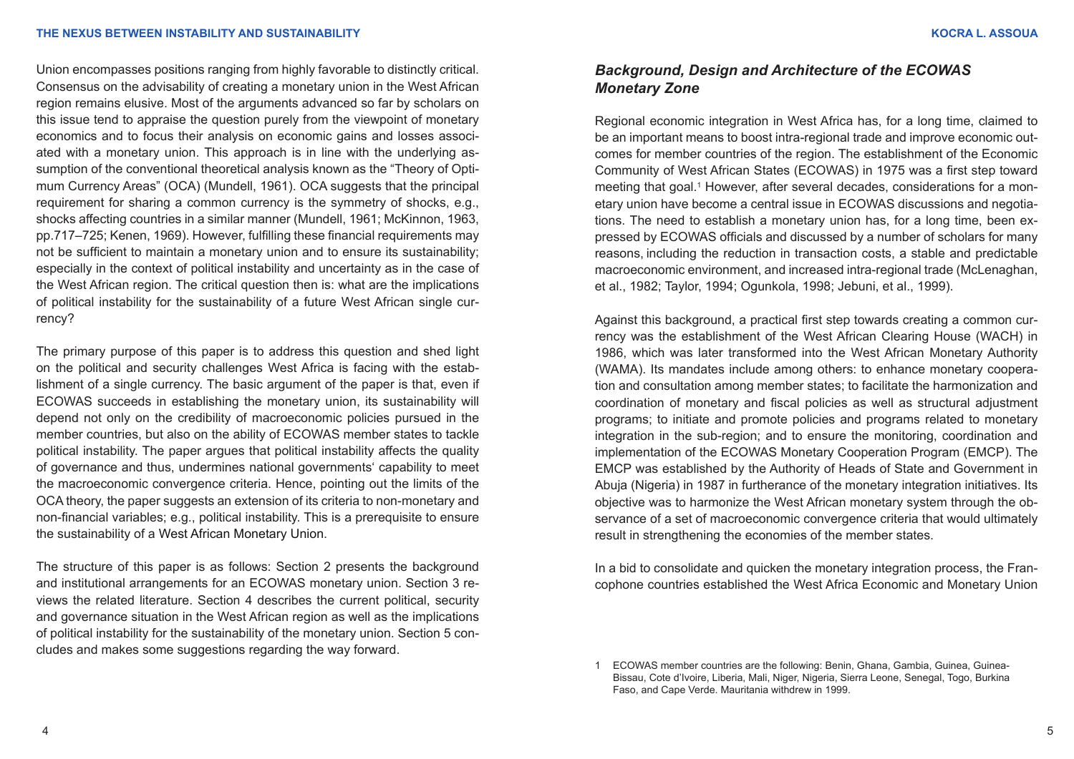Union encompasses positions ranging from highly favorable to distinctly critical. Consensus on the advisability of creating a monetary union in the West African region remains elusive. Most of the arguments advanced so far by scholars on this issue tend to appraise the question purely from the viewpoint of monetary economics and to focus their analysis on economic gains and losses associated with a monetary union. This approach is in line with the underlying assumption of the conventional theoretical analysis known as the "Theory of Optimum Currency Areas" (OCA) (Mundell, 1961). OCA suggests that the principal requirement for sharing a common currency is the symmetry of shocks, e.g., shocks affecting countries in a similar manner (Mundell, 1961; McKinnon, 1963, pp.717–725; Kenen, 1969). However, fulfilling these financial requirements may not be sufficient to maintain a monetary union and to ensure its sustainability; especially in the context of political instability and uncertainty as in the case of the West African region. The critical question then is: what are the implications of political instability for the sustainability of a future West African single currency?

The primary purpose of this paper is to address this question and shed light on the political and security challenges West Africa is facing with the establishment of a single currency. The basic argument of the paper is that, even if ECOWAS succeeds in establishing the monetary union, its sustainability will depend not only on the credibility of macroeconomic policies pursued in the member countries, but also on the ability of ECOWAS member states to tackle political instability. The paper argues that political instability affects the quality of governance and thus, undermines national governments' capability to meet the macroeconomic convergence criteria. Hence, pointing out the limits of the OCA theory, the paper suggests an extension of its criteria to non-monetary and non-financial variables; e.g., political instability. This is a prerequisite to ensure the sustainability of a West African Monetary Union.

The structure of this paper is as follows: Section 2 presents the background and institutional arrangements for an ECOWAS monetary union. Section 3 reviews the related literature. Section 4 describes the current political, security and governance situation in the West African region as well as the implications of political instability for the sustainability of the monetary union. Section 5 concludes and makes some suggestions regarding the way forward.

# *Background, Design and Architecture of the ECOWAS Monetary Zone*

Regional economic integration in West Africa has, for a long time, claimed to be an important means to boost intra-regional trade and improve economic outcomes for member countries of the region. The establishment of the Economic Community of West African States (ECOWAS) in 1975 was a first step toward meeting that goal.1 However, after several decades, considerations for a monetary union have become a central issue in ECOWAS discussions and negotiations. The need to establish a monetary union has, for a long time, been expressed by ECOWAS officials and discussed by a number of scholars for many reasons, including the reduction in transaction costs, a stable and predictable macroeconomic environment, and increased intra-regional trade (McLenaghan, et al., 1982; Taylor, 1994; Ogunkola, 1998; Jebuni, et al., 1999).

Against this background, a practical first step towards creating a common currency was the establishment of the West African Clearing House (WACH) in 1986, which was later transformed into the West African Monetary Authority (WAMA). Its mandates include among others: to enhance monetary cooperation and consultation among member states; to facilitate the harmonization and coordination of monetary and fiscal policies as well as structural adjustment programs; to initiate and promote policies and programs related to monetary integration in the sub-region; and to ensure the monitoring, coordination and implementation of the ECOWAS Monetary Cooperation Program (EMCP). The EMCP was established by the Authority of Heads of State and Government in Abuja (Nigeria) in 1987 in furtherance of the monetary integration initiatives. Its objective was to harmonize the West African monetary system through the observance of a set of macroeconomic convergence criteria that would ultimately result in strengthening the economies of the member states.

In a bid to consolidate and quicken the monetary integration process, the Francophone countries established the West Africa Economic and Monetary Union

<sup>1</sup> ECOWAS member countries are the following: Benin, Ghana, Gambia, Guinea, Guinea-Bissau, Cote d'Ivoire, Liberia, Mali, Niger, Nigeria, Sierra Leone, Senegal, Togo, Burkina Faso, and Cape Verde. Mauritania withdrew in 1999.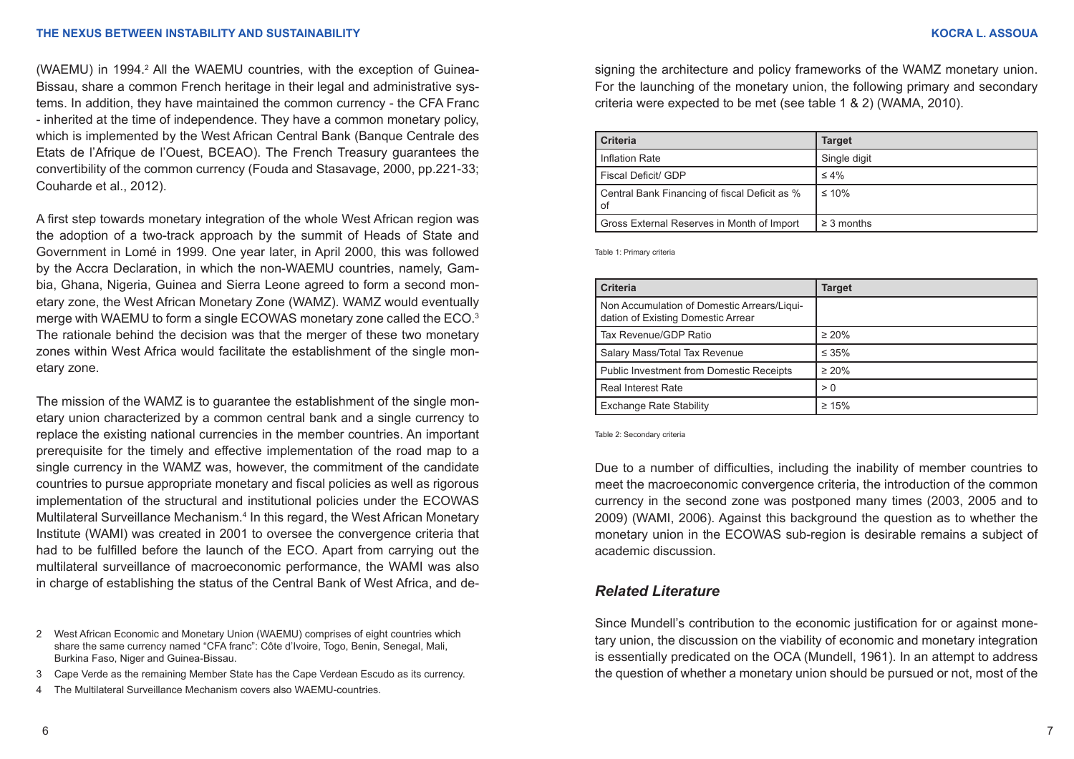(WAEMU) in 1994.<sup>2</sup> All the WAEMU countries, with the exception of Guinea-Bissau, share a common French heritage in their legal and administrative systems. In addition, they have maintained the common currency - the CFA Franc - inherited at the time of independence. They have a common monetary policy, which is implemented by the West African Central Bank (Banque Centrale des Etats de l'Afrique de l'Ouest, BCEAO). The French Treasury guarantees the convertibility of the common currency (Fouda and Stasavage, 2000, pp.221-33; Couharde et al., 2012).

A first step towards monetary integration of the whole West African region was the adoption of a two-track approach by the summit of Heads of State and Government in Lomé in 1999. One year later, in April 2000, this was followed by the Accra Declaration, in which the non-WAEMU countries, namely, Gambia, Ghana, Nigeria, Guinea and Sierra Leone agreed to form a second monetary zone, the West African Monetary Zone (WAMZ). WAMZ would eventually merge with WAEMU to form a single ECOWAS monetary zone called the ECO.3 The rationale behind the decision was that the merger of these two monetary zones within West Africa would facilitate the establishment of the single monetary zone.

The mission of the WAMZ is to guarantee the establishment of the single monetary union characterized by a common central bank and a single currency to replace the existing national currencies in the member countries. An important prerequisite for the timely and effective implementation of the road map to a single currency in the WAMZ was, however, the commitment of the candidate countries to pursue appropriate monetary and fiscal policies as well as rigorous implementation of the structural and institutional policies under the ECOWAS Multilateral Surveillance Mechanism.<sup>4</sup> In this regard, the West African Monetary Institute (WAMI) was created in 2001 to oversee the convergence criteria that had to be fulfilled before the launch of the ECO. Apart from carrying out the multilateral surveillance of macroeconomic performance, the WAMI was also in charge of establishing the status of the Central Bank of West Africa, and de-

2 West African Economic and Monetary Union (WAEMU) comprises of eight countries which share the same currency named "CFA franc": Côte d'Ivoire, Togo, Benin, Senegal, Mali, Burkina Faso, Niger and Guinea-Bissau.

- 3 Cape Verde as the remaining Member State has the Cape Verdean Escudo as its currency.
- 4 The Multilateral Surveillance Mechanism covers also WAEMU-countries.

signing the architecture and policy frameworks of the WAMZ monetary union. For the launching of the monetary union, the following primary and secondary criteria were expected to be met (see table 1 & 2) (WAMA, 2010).

| <b>Criteria</b>                                     | <b>Target</b>   |
|-----------------------------------------------------|-----------------|
| Inflation Rate                                      | Single digit    |
| Fiscal Deficit/ GDP                                 | $\leq 4\%$      |
| Central Bank Financing of fiscal Deficit as %<br>0f | $\leq 10\%$     |
| Gross External Reserves in Month of Import          | $\geq$ 3 months |

Table 1: Primary criteria

| <b>Criteria</b>                                                                   | <b>Target</b> |
|-----------------------------------------------------------------------------------|---------------|
| Non Accumulation of Domestic Arrears/Liqui-<br>dation of Existing Domestic Arrear |               |
| Tax Revenue/GDP Ratio                                                             | $\geq 20\%$   |
| Salary Mass/Total Tax Revenue                                                     | $\leq 35\%$   |
| <b>Public Investment from Domestic Receipts</b>                                   | $\geq 20\%$   |
| <b>Real Interest Rate</b>                                                         | > 0           |
| <b>Exchange Rate Stability</b>                                                    | $\geq 15\%$   |

Table 2: Secondary criteria

Due to a number of difficulties, including the inability of member countries to meet the macroeconomic convergence criteria, the introduction of the common currency in the second zone was postponed many times (2003, 2005 and to 2009) (WAMI, 2006). Against this background the question as to whether the monetary union in the ECOWAS sub-region is desirable remains a subject of academic discussion.

## *Related Literature*

Since Mundell's contribution to the economic justification for or against monetary union, the discussion on the viability of economic and monetary integration is essentially predicated on the OCA (Mundell, 1961). In an attempt to address the question of whether a monetary union should be pursued or not, most of the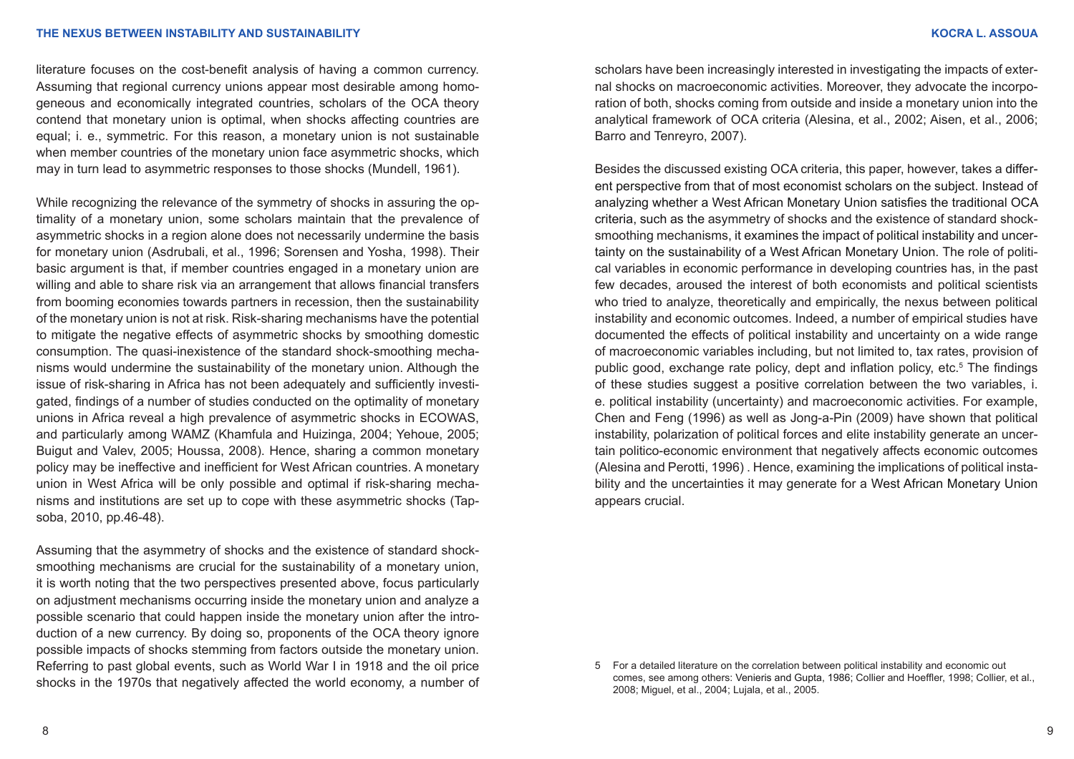literature focuses on the cost-benefit analysis of having a common currency. Assuming that regional currency unions appear most desirable among homogeneous and economically integrated countries, scholars of the OCA theory contend that monetary union is optimal, when shocks affecting countries are equal; i. e., symmetric. For this reason, a monetary union is not sustainable when member countries of the monetary union face asymmetric shocks, which may in turn lead to asymmetric responses to those shocks (Mundell, 1961).

While recognizing the relevance of the symmetry of shocks in assuring the optimality of a monetary union, some scholars maintain that the prevalence of asymmetric shocks in a region alone does not necessarily undermine the basis for monetary union (Asdrubali, et al., 1996; Sorensen and Yosha, 1998). Their basic argument is that, if member countries engaged in a monetary union are willing and able to share risk via an arrangement that allows financial transfers from booming economies towards partners in recession, then the sustainability of the monetary union is not at risk. Risk-sharing mechanisms have the potential to mitigate the negative effects of asymmetric shocks by smoothing domestic consumption. The quasi-inexistence of the standard shock-smoothing mechanisms would undermine the sustainability of the monetary union. Although the issue of risk-sharing in Africa has not been adequately and sufficiently investigated, findings of a number of studies conducted on the optimality of monetary unions in Africa reveal a high prevalence of asymmetric shocks in ECOWAS, and particularly among WAMZ (Khamfula and Huizinga, 2004; Yehoue, 2005; Buigut and Valev, 2005; Houssa, 2008). Hence, sharing a common monetary policy may be ineffective and inefficient for West African countries. A monetary union in West Africa will be only possible and optimal if risk-sharing mechanisms and institutions are set up to cope with these asymmetric shocks (Tapsoba, 2010, pp.46-48).

Assuming that the asymmetry of shocks and the existence of standard shocksmoothing mechanisms are crucial for the sustainability of a monetary union, it is worth noting that the two perspectives presented above, focus particularly on adjustment mechanisms occurring inside the monetary union and analyze a possible scenario that could happen inside the monetary union after the introduction of a new currency. By doing so, proponents of the OCA theory ignore possible impacts of shocks stemming from factors outside the monetary union. Referring to past global events, such as World War I in 1918 and the oil price shocks in the 1970s that negatively affected the world economy, a number of scholars have been increasingly interested in investigating the impacts of external shocks on macroeconomic activities. Moreover, they advocate the incorporation of both, shocks coming from outside and inside a monetary union into the analytical framework of OCA criteria (Alesina, et al., 2002; Aisen, et al., 2006; Barro and Tenreyro, 2007).

Besides the discussed existing OCA criteria, this paper, however, takes a different perspective from that of most economist scholars on the subject. Instead of analyzing whether a West African Monetary Union satisfies the traditional OCA criteria, such as the asymmetry of shocks and the existence of standard shocksmoothing mechanisms, it examines the impact of political instability and uncertainty on the sustainability of a West African Monetary Union. The role of political variables in economic performance in developing countries has, in the past few decades, aroused the interest of both economists and political scientists who tried to analyze, theoretically and empirically, the nexus between political instability and economic outcomes. Indeed, a number of empirical studies have documented the effects of political instability and uncertainty on a wide range of macroeconomic variables including, but not limited to, tax rates, provision of public good, exchange rate policy, dept and inflation policy, etc.<sup>5</sup> The findings of these studies suggest a positive correlation between the two variables, i. e. political instability (uncertainty) and macroeconomic activities. For example, Chen and Feng (1996) as well as Jong-a-Pin (2009) have shown that political instability, polarization of political forces and elite instability generate an uncertain politico-economic environment that negatively affects economic outcomes (Alesina and Perotti, 1996) . Hence, examining the implications of political instability and the uncertainties it may generate for a West African Monetary Union appears crucial.

<sup>5</sup> For a detailed literature on the correlation between political instability and economic out comes, see among others: Venieris and Gupta, 1986; Collier and Hoeffler, 1998; Collier, et al., 2008; Miguel, et al., 2004; Lujala, et al., 2005.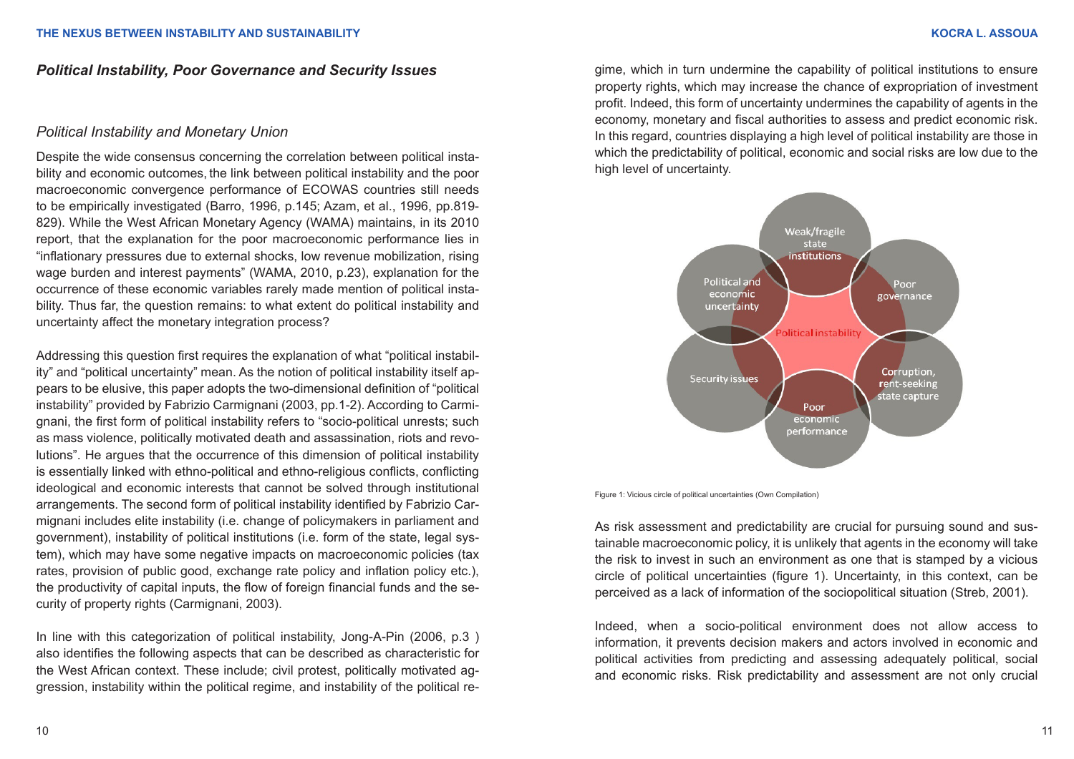## *Political Instability, Poor Governance and Security Issues*

## *Political Instability and Monetary Union*

Despite the wide consensus concerning the correlation between political instability and economic outcomes, the link between political instability and the poor macroeconomic convergence performance of ECOWAS countries still needs to be empirically investigated (Barro, 1996, p.145; Azam, et al., 1996, pp.819- 829). While the West African Monetary Agency (WAMA) maintains, in its 2010 report, that the explanation for the poor macroeconomic performance lies in "inflationary pressures due to external shocks, low revenue mobilization, rising wage burden and interest payments" (WAMA, 2010, p.23), explanation for the occurrence of these economic variables rarely made mention of political instability. Thus far, the question remains: to what extent do political instability and uncertainty affect the monetary integration process?

Addressing this question first requires the explanation of what "political instability" and "political uncertainty" mean. As the notion of political instability itself appears to be elusive, this paper adopts the two-dimensional definition of "political instability" provided by Fabrizio Carmignani (2003, pp.1-2). According to Carmignani, the first form of political instability refers to "socio-political unrests; such as mass violence, politically motivated death and assassination, riots and revolutions". He argues that the occurrence of this dimension of political instability is essentially linked with ethno-political and ethno-religious conflicts, conflicting ideological and economic interests that cannot be solved through institutional arrangements. The second form of political instability identified by Fabrizio Carmignani includes elite instability (i.e. change of policymakers in parliament and government), instability of political institutions (i.e. form of the state, legal system), which may have some negative impacts on macroeconomic policies (tax rates, provision of public good, exchange rate policy and inflation policy etc.), the productivity of capital inputs, the flow of foreign financial funds and the security of property rights (Carmignani, 2003).

In line with this categorization of political instability, Jong-A-Pin (2006, p.3 ) also identifies the following aspects that can be described as characteristic for the West African context. These include; civil protest, politically motivated aggression, instability within the political regime, and instability of the political regime, which in turn undermine the capability of political institutions to ensure property rights, which may increase the chance of expropriation of investment profit. Indeed, this form of uncertainty undermines the capability of agents in the economy, monetary and fiscal authorities to assess and predict economic risk. In this regard, countries displaying a high level of political instability are those in which the predictability of political, economic and social risks are low due to the high level of uncertainty.



Figure 1: Vicious circle of political uncertainties (Own Compilation)

As risk assessment and predictability are crucial for pursuing sound and sustainable macroeconomic policy, it is unlikely that agents in the economy will take the risk to invest in such an environment as one that is stamped by a vicious circle of political uncertainties (figure 1). Uncertainty, in this context, can be perceived as a lack of information of the sociopolitical situation (Streb, 2001).

Indeed, when a socio-political environment does not allow access to information, it prevents decision makers and actors involved in economic and political activities from predicting and assessing adequately political, social and economic risks. Risk predictability and assessment are not only crucial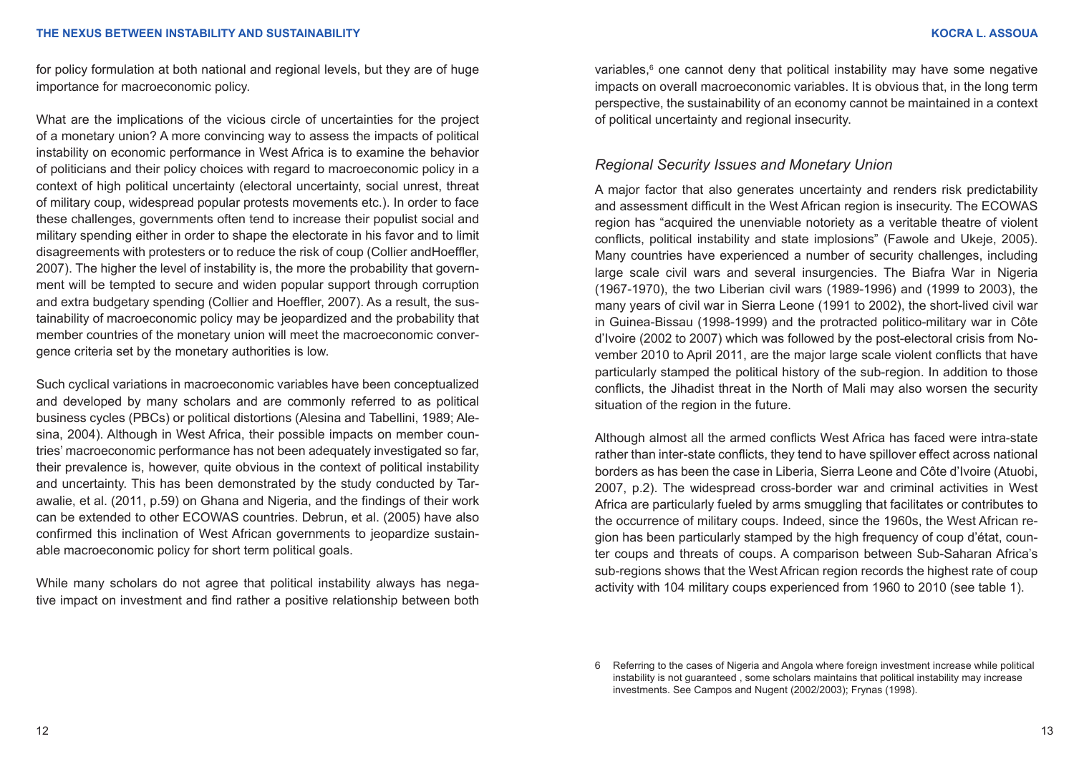for policy formulation at both national and regional levels, but they are of huge importance for macroeconomic policy.

What are the implications of the vicious circle of uncertainties for the project of a monetary union? A more convincing way to assess the impacts of political instability on economic performance in West Africa is to examine the behavior of politicians and their policy choices with regard to macroeconomic policy in a context of high political uncertainty (electoral uncertainty, social unrest, threat of military coup, widespread popular protests movements etc.). In order to face these challenges, governments often tend to increase their populist social and military spending either in order to shape the electorate in his favor and to limit disagreements with protesters or to reduce the risk of coup (Collier andHoeffler, 2007). The higher the level of instability is, the more the probability that government will be tempted to secure and widen popular support through corruption and extra budgetary spending (Collier and Hoeffler, 2007). As a result, the sustainability of macroeconomic policy may be jeopardized and the probability that member countries of the monetary union will meet the macroeconomic convergence criteria set by the monetary authorities is low.

Such cyclical variations in macroeconomic variables have been conceptualized and developed by many scholars and are commonly referred to as political business cycles (PBCs) or political distortions (Alesina and Tabellini, 1989; Alesina, 2004). Although in West Africa, their possible impacts on member countries' macroeconomic performance has not been adequately investigated so far, their prevalence is, however, quite obvious in the context of political instability and uncertainty. This has been demonstrated by the study conducted by Tarawalie, et al. (2011, p.59) on Ghana and Nigeria, and the findings of their work can be extended to other ECOWAS countries. Debrun, et al. (2005) have also confirmed this inclination of West African governments to jeopardize sustainable macroeconomic policy for short term political goals.

While many scholars do not agree that political instability always has negative impact on investment and find rather a positive relationship between both

variables,<sup>6</sup> one cannot deny that political instability may have some negative impacts on overall macroeconomic variables. It is obvious that, in the long term perspective, the sustainability of an economy cannot be maintained in a context of political uncertainty and regional insecurity.

## *Regional Security Issues and Monetary Union*

A major factor that also generates uncertainty and renders risk predictability and assessment difficult in the West African region is insecurity. The ECOWAS region has "acquired the unenviable notoriety as a veritable theatre of violent conflicts, political instability and state implosions" (Fawole and Ukeje, 2005). Many countries have experienced a number of security challenges, including large scale civil wars and several insurgencies. The Biafra War in Nigeria (1967-1970), the two Liberian civil wars (1989-1996) and (1999 to 2003), the many years of civil war in Sierra Leone (1991 to 2002), the short-lived civil war in Guinea-Bissau (1998-1999) and the protracted politico-military war in Côte d'Ivoire (2002 to 2007) which was followed by the post-electoral crisis from November 2010 to April 2011, are the major large scale violent conflicts that have particularly stamped the political history of the sub-region. In addition to those conflicts, the Jihadist threat in the North of Mali may also worsen the security situation of the region in the future.

Although almost all the armed conflicts West Africa has faced were intra-state rather than inter-state conflicts, they tend to have spillover effect across national borders as has been the case in Liberia, Sierra Leone and Côte d'Ivoire (Atuobi, 2007, p.2). The widespread cross-border war and criminal activities in West Africa are particularly fueled by arms smuggling that facilitates or contributes to the occurrence of military coups. Indeed, since the 1960s, the West African region has been particularly stamped by the high frequency of coup d'état, counter coups and threats of coups. A comparison between Sub-Saharan Africa's sub-regions shows that the West African region records the highest rate of coup activity with 104 military coups experienced from 1960 to 2010 (see table 1).

<sup>6</sup> Referring to the cases of Nigeria and Angola where foreign investment increase while political instability is not guaranteed , some scholars maintains that political instability may increase investments. See Campos and Nugent (2002/2003); Frynas (1998).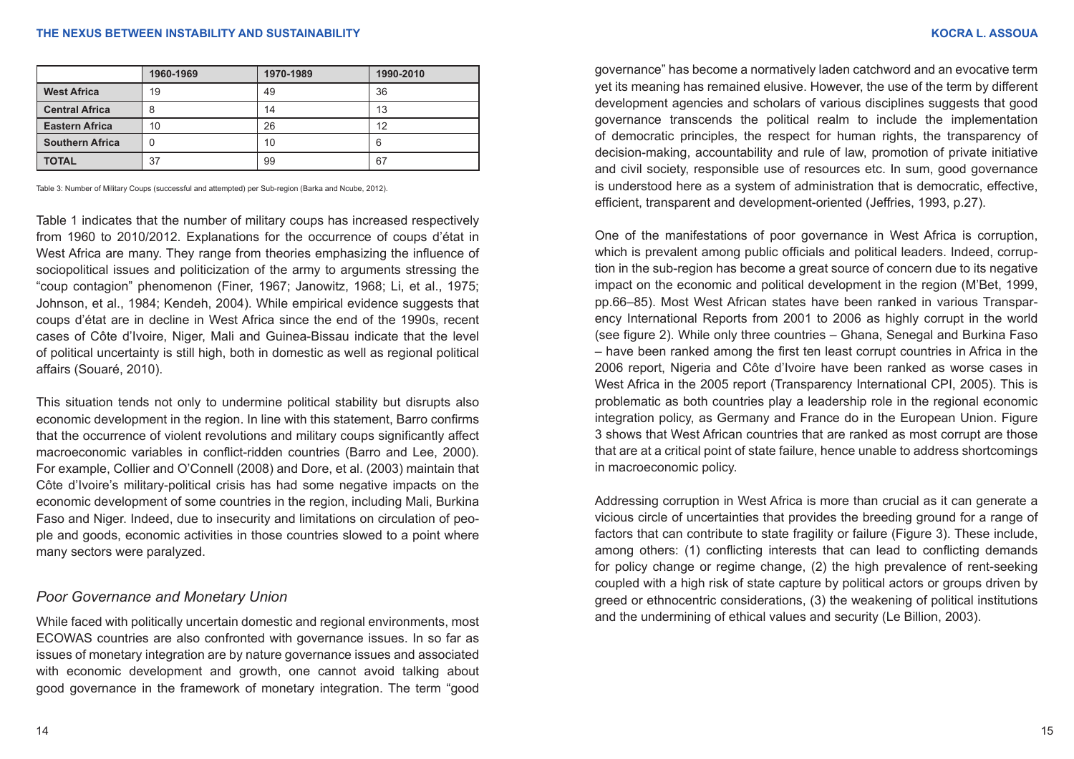| <b>KOCRA L. ASSOU</b> |  |
|-----------------------|--|
|                       |  |

|                        | 1960-1969 | 1970-1989 | 1990-2010 |
|------------------------|-----------|-----------|-----------|
| <b>West Africa</b>     | 19        | 49        | 36        |
| <b>Central Africa</b>  | 8         | 14        | 13        |
| <b>Eastern Africa</b>  | 10        | 26        | 12        |
| <b>Southern Africa</b> | 0         | 10        | 6         |
| <b>TOTAL</b>           | 37        | 99        | 67        |

Table 3: Number of Military Coups (successful and attempted) per Sub-region (Barka and Ncube, 2012).

Table 1 indicates that the number of military coups has increased respectively from 1960 to 2010/2012. Explanations for the occurrence of coups d'état in West Africa are many. They range from theories emphasizing the influence of sociopolitical issues and politicization of the army to arguments stressing the "coup contagion" phenomenon (Finer, 1967; Janowitz, 1968; Li, et al., 1975; Johnson, et al., 1984; Kendeh, 2004). While empirical evidence suggests that coups d'état are in decline in West Africa since the end of the 1990s, recent cases of Côte d'Ivoire, Niger, Mali and Guinea-Bissau indicate that the level of political uncertainty is still high, both in domestic as well as regional political affairs (Souaré, 2010).

This situation tends not only to undermine political stability but disrupts also economic development in the region. In line with this statement, Barro confirms that the occurrence of violent revolutions and military coups significantly affect macroeconomic variables in conflict-ridden countries (Barro and Lee, 2000). For example, Collier and O'Connell (2008) and Dore, et al. (2003) maintain that Côte d'Ivoire's military-political crisis has had some negative impacts on the economic development of some countries in the region, including Mali, Burkina Faso and Niger. Indeed, due to insecurity and limitations on circulation of people and goods, economic activities in those countries slowed to a point where many sectors were paralyzed.

## *Poor Governance and Monetary Union*

While faced with politically uncertain domestic and regional environments, most ECOWAS countries are also confronted with governance issues. In so far as issues of monetary integration are by nature governance issues and associated with economic development and growth, one cannot avoid talking about good governance in the framework of monetary integration. The term "good

governance" has become a normatively laden catchword and an evocative term yet its meaning has remained elusive. However, the use of the term by different development agencies and scholars of various disciplines suggests that good governance transcends the political realm to include the implementation of democratic principles, the respect for human rights, the transparency of decision-making, accountability and rule of law, promotion of private initiative and civil society, responsible use of resources etc. In sum, good governance is understood here as a system of administration that is democratic, effective, efficient, transparent and development-oriented (Jeffries, 1993, p.27).

One of the manifestations of poor governance in West Africa is corruption, which is prevalent among public officials and political leaders. Indeed, corruption in the sub-region has become a great source of concern due to its negative impact on the economic and political development in the region (M'Bet, 1999, pp.66–85). Most West African states have been ranked in various Transparency International Reports from 2001 to 2006 as highly corrupt in the world (see figure 2). While only three countries – Ghana, Senegal and Burkina Faso – have been ranked among the first ten least corrupt countries in Africa in the 2006 report, Nigeria and Côte d'Ivoire have been ranked as worse cases in West Africa in the 2005 report (Transparency International CPI, 2005). This is problematic as both countries play a leadership role in the regional economic integration policy, as Germany and France do in the European Union. Figure 3 shows that West African countries that are ranked as most corrupt are those that are at a critical point of state failure, hence unable to address shortcomings in macroeconomic policy.

Addressing corruption in West Africa is more than crucial as it can generate a vicious circle of uncertainties that provides the breeding ground for a range of factors that can contribute to state fragility or failure (Figure 3). These include, among others: (1) conflicting interests that can lead to conflicting demands for policy change or regime change, (2) the high prevalence of rent-seeking coupled with a high risk of state capture by political actors or groups driven by greed or ethnocentric considerations, (3) the weakening of political institutions and the undermining of ethical values and security (Le Billion, 2003).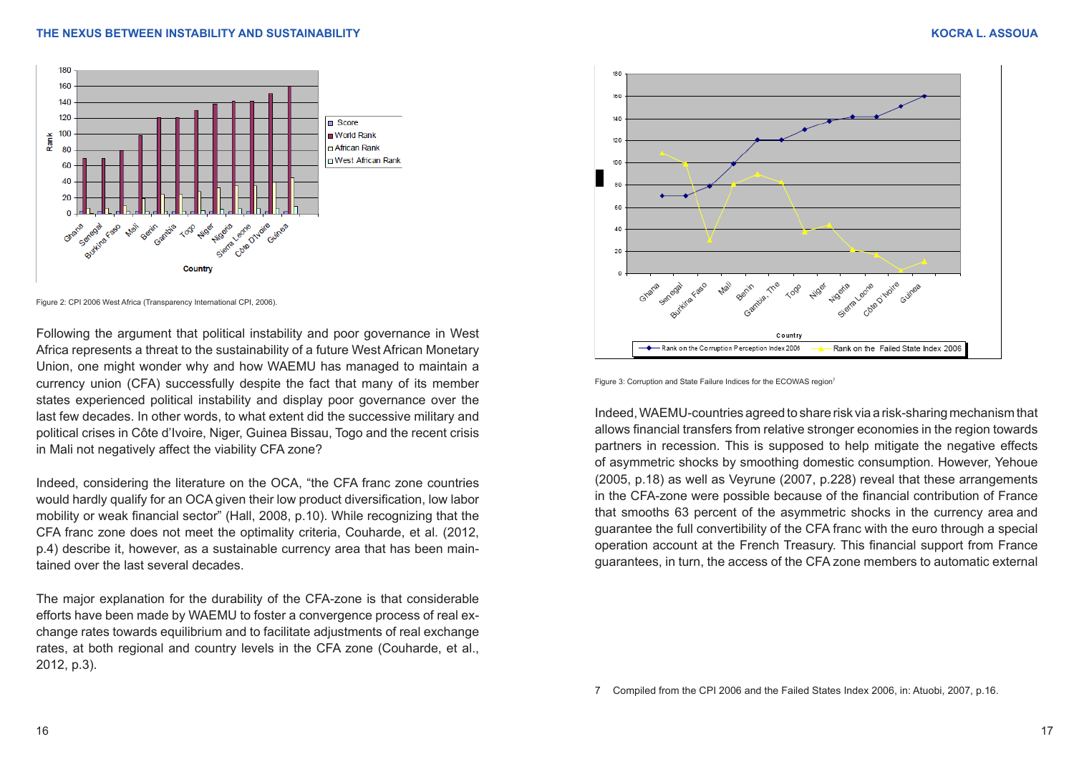

Figure 2: CPI 2006 West Africa (Transparency International CPI, 2006).

Following the argument that political instability and poor governance in West Africa represents a threat to the sustainability of a future West African Monetary Union, one might wonder why and how WAEMU has managed to maintain a currency union (CFA) successfully despite the fact that many of its member states experienced political instability and display poor governance over the last few decades. In other words, to what extent did the successive military and political crises in Côte d'Ivoire, Niger, Guinea Bissau, Togo and the recent crisis in Mali not negatively affect the viability CFA zone?

Indeed, considering the literature on the OCA, "the CFA franc zone countries would hardly qualify for an OCA given their low product diversification, low labor mobility or weak financial sector" (Hall, 2008, p.10). While recognizing that the CFA franc zone does not meet the optimality criteria, Couharde, et al. (2012, p.4) describe it, however, as a sustainable currency area that has been maintained over the last several decades.

The major explanation for the durability of the CFA-zone is that considerable efforts have been made by WAEMU to foster a convergence process of real exchange rates towards equilibrium and to facilitate adjustments of real exchange rates, at both regional and country levels in the CFA zone (Couharde, et al., 2012, p.3).



Figure 3: Corruption and State Failure Indices for the ECOWAS region<sup>3</sup>

Indeed, WAEMU-countries agreed to share risk via a risk-sharing mechanism that allows financial transfers from relative stronger economies in the region towards partners in recession. This is supposed to help mitigate the negative effects of asymmetric shocks by smoothing domestic consumption. However, Yehoue (2005, p.18) as well as Veyrune (2007, p.228) reveal that these arrangements in the CFA-zone were possible because of the financial contribution of France that smooths 63 percent of the asymmetric shocks in the currency area and guarantee the full convertibility of the CFA franc with the euro through a special operation account at the French Treasury. This financial support from France guarantees, in turn, the access of the CFA zone members to automatic external

<sup>7</sup> Compiled from the CPI 2006 and the Failed States Index 2006, in: Atuobi, 2007, p.16.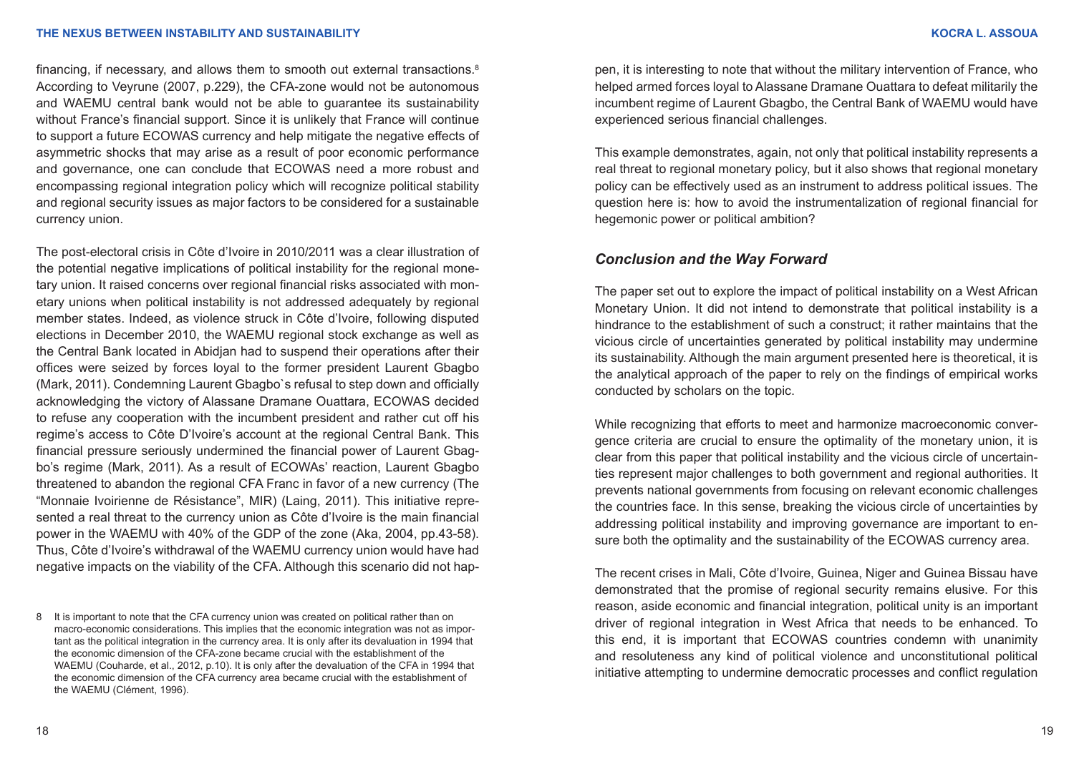financing, if necessary, and allows them to smooth out external transactions. $8$ According to Veyrune (2007, p.229), the CFA-zone would not be autonomous and WAEMU central bank would not be able to guarantee its sustainability without France's financial support. Since it is unlikely that France will continue to support a future ECOWAS currency and help mitigate the negative effects of asymmetric shocks that may arise as a result of poor economic performance and governance, one can conclude that ECOWAS need a more robust and encompassing regional integration policy which will recognize political stability and regional security issues as major factors to be considered for a sustainable currency union.

The post-electoral crisis in Côte d'Ivoire in 2010/2011 was a clear illustration of the potential negative implications of political instability for the regional monetary union. It raised concerns over regional financial risks associated with monetary unions when political instability is not addressed adequately by regional member states. Indeed, as violence struck in Côte d'Ivoire, following disputed elections in December 2010, the WAEMU regional stock exchange as well as the Central Bank located in Abidjan had to suspend their operations after their offices were seized by forces loyal to the former president Laurent Gbagbo (Mark, 2011). Condemning Laurent Gbagbo`s refusal to step down and officially acknowledging the victory of Alassane Dramane Ouattara, ECOWAS decided to refuse any cooperation with the incumbent president and rather cut off his regime's access to Côte D'Ivoire's account at the regional Central Bank. This financial pressure seriously undermined the financial power of Laurent Gbagbo's regime (Mark, 2011). As a result of ECOWAs' reaction, Laurent Gbagbo threatened to abandon the regional CFA Franc in favor of a new currency (The "Monnaie Ivoirienne de Résistance", MIR) (Laing, 2011). This initiative represented a real threat to the currency union as Côte d'Ivoire is the main financial power in the WAEMU with 40% of the GDP of the zone (Aka, 2004, pp.43-58). Thus, Côte d'Ivoire's withdrawal of the WAEMU currency union would have had negative impacts on the viability of the CFA. Although this scenario did not hap-

8 It is important to note that the CFA currency union was created on political rather than on macro-economic considerations. This implies that the economic integration was not as important as the political integration in the currency area. It is only after its devaluation in 1994 that the economic dimension of the CFA-zone became crucial with the establishment of the WAEMU (Couharde, et al., 2012, p.10). It is only after the devaluation of the CFA in 1994 that the economic dimension of the CFA currency area became crucial with the establishment of the WAEMU (Clément, 1996).

pen, it is interesting to note that without the military intervention of France, who helped armed forces loyal to Alassane Dramane Ouattara to defeat militarily the incumbent regime of Laurent Gbagbo, the Central Bank of WAEMU would have experienced serious financial challenges.

This example demonstrates, again, not only that political instability represents a real threat to regional monetary policy, but it also shows that regional monetary policy can be effectively used as an instrument to address political issues. The question here is: how to avoid the instrumentalization of regional financial for hegemonic power or political ambition?

## *Conclusion and the Way Forward*

The paper set out to explore the impact of political instability on a West African Monetary Union. It did not intend to demonstrate that political instability is a hindrance to the establishment of such a construct; it rather maintains that the vicious circle of uncertainties generated by political instability may undermine its sustainability. Although the main argument presented here is theoretical, it is the analytical approach of the paper to rely on the findings of empirical works conducted by scholars on the topic.

While recognizing that efforts to meet and harmonize macroeconomic convergence criteria are crucial to ensure the optimality of the monetary union, it is clear from this paper that political instability and the vicious circle of uncertainties represent major challenges to both government and regional authorities. It prevents national governments from focusing on relevant economic challenges the countries face. In this sense, breaking the vicious circle of uncertainties by addressing political instability and improving governance are important to ensure both the optimality and the sustainability of the ECOWAS currency area.

The recent crises in Mali, Côte d'Ivoire, Guinea, Niger and Guinea Bissau have demonstrated that the promise of regional security remains elusive. For this reason, aside economic and financial integration, political unity is an important driver of regional integration in West Africa that needs to be enhanced. To this end, it is important that ECOWAS countries condemn with unanimity and resoluteness any kind of political violence and unconstitutional political initiative attempting to undermine democratic processes and conflict regulation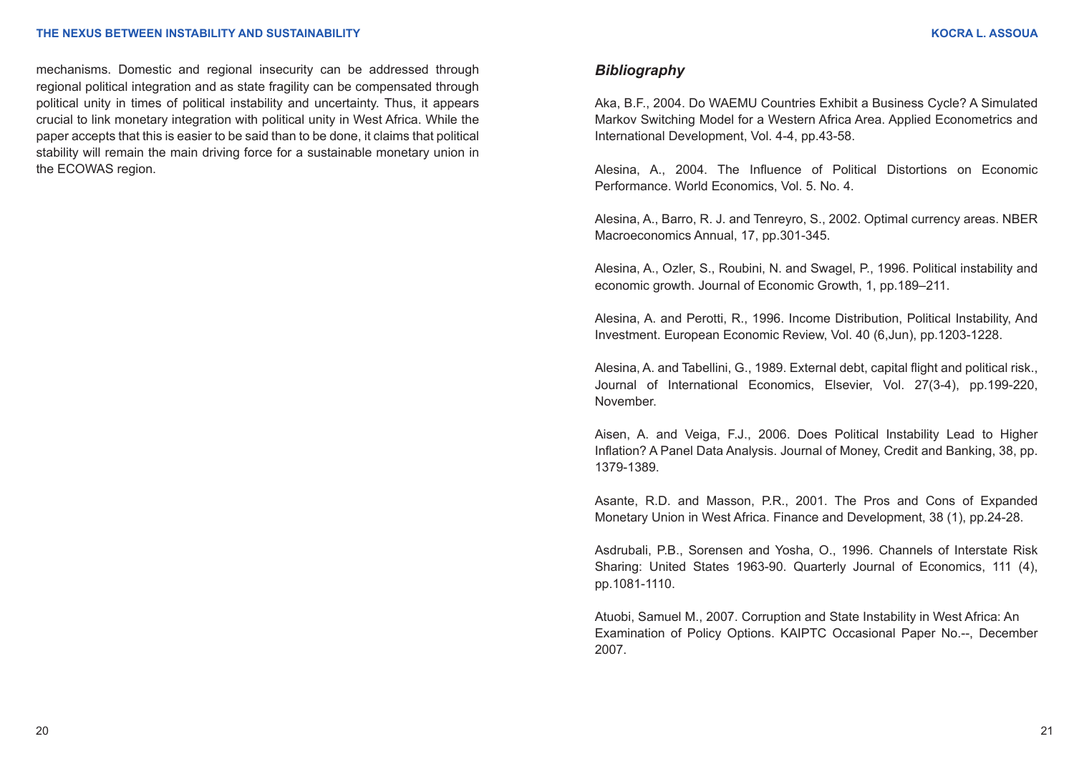mechanisms. Domestic and regional insecurity can be addressed through regional political integration and as state fragility can be compensated through political unity in times of political instability and uncertainty. Thus, it appears crucial to link monetary integration with political unity in West Africa. While the paper accepts that this is easier to be said than to be done, it claims that political stability will remain the main driving force for a sustainable monetary union in the ECOWAS region.

## *Bibliography*

Aka, B.F., 2004. Do WAEMU Countries Exhibit a Business Cycle? A Simulated Markov Switching Model for a Western Africa Area. Applied Econometrics and International Development, Vol. 4-4, pp.43-58.

Alesina, A., 2004. The Influence of Political Distortions on Economic Performance. World Economics, Vol. 5. No. 4.

Alesina, A., Barro, R. J. and Tenreyro, S., 2002. Optimal currency areas. NBER Macroeconomics Annual, 17, pp.301-345.

Alesina, A., Ozler, S., Roubini, N. and Swagel, P., 1996. Political instability and economic growth. Journal of Economic Growth, 1, pp.189–211.

Alesina, A. and Perotti, R., 1996. Income Distribution, Political Instability, And Investment. European Economic Review, Vol. 40 (6,Jun), pp.1203-1228.

Alesina, A. and Tabellini, G., 1989. External debt, capital flight and political risk., Journal of International Economics, Elsevier, Vol. 27(3-4), pp.199-220, November.

Aisen, A. and Veiga, F.J., 2006. Does Political Instability Lead to Higher Inflation? A Panel Data Analysis. Journal of Money, Credit and Banking, 38, pp. 1379-1389.

Asante, R.D. and Masson, P.R., 2001. The Pros and Cons of Expanded Monetary Union in West Africa. Finance and Development, 38 (1), pp.24-28.

Asdrubali, P.B., Sorensen and Yosha, O., 1996. Channels of Interstate Risk Sharing: United States 1963-90. Quarterly Journal of Economics, 111 (4), pp.1081-1110.

Atuobi, Samuel M., 2007. Corruption and State Instability in West Africa: An Examination of Policy Options. KAIPTC Occasional Paper No.--, December 2007.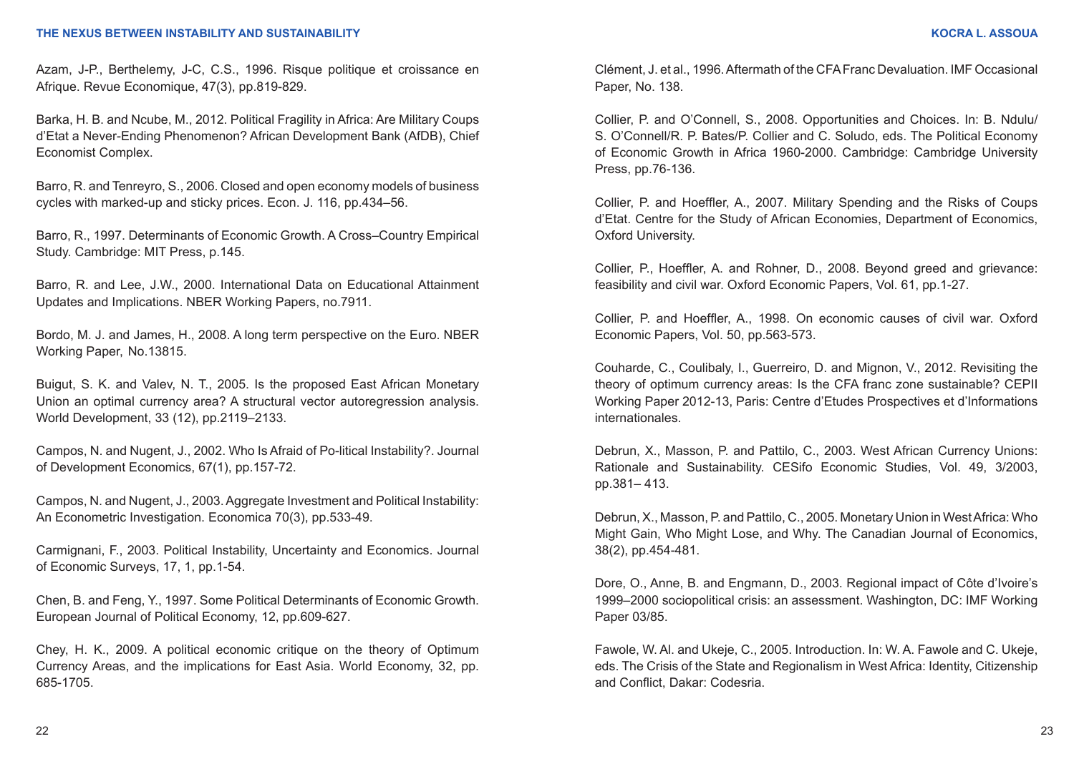Azam, J-P., Berthelemy, J-C, C.S., 1996. Risque politique et croissance en Afrique. Revue Economique, 47(3), pp.819-829.

Barka, H. B. and Ncube, M., 2012. Political Fragility in Africa: Are Military Coups d'Etat a Never-Ending Phenomenon? African Development Bank (AfDB), Chief Economist Complex.

Barro, R. and Tenreyro, S., 2006. Closed and open economy models of business cycles with marked-up and sticky prices. Econ. J. 116, pp.434–56.

Barro, R., 1997. Determinants of Economic Growth. A Cross–Country Empirical Study. Cambridge: MIT Press, p.145.

Barro, R. and Lee, J.W., 2000. International Data on Educational Attainment Updates and Implications. NBER Working Papers, no.7911.

Bordo, M. J. and James, H., 2008. A long term perspective on the Euro. NBER Working Paper, No.13815.

Buigut, S. K. and Valev, N. T., 2005. Is the proposed East African Monetary Union an optimal currency area? A structural vector autoregression analysis. World Development, 33 (12), pp.2119–2133.

Campos, N. and Nugent, J., 2002. Who Is Afraid of Po-litical Instability?. Journal of Development Economics, 67(1), pp.157-72.

Campos, N. and Nugent, J., 2003. Aggregate Investment and Political Instability: An Econometric Investigation. Economica 70(3), pp.533-49.

Carmignani, F., 2003. Political Instability, Uncertainty and Economics. Journal of Economic Surveys, 17, 1, pp.1-54.

Chen, B. and Feng, Y., 1997. Some Political Determinants of Economic Growth. European Journal of Political Economy, 12, pp.609-627.

Chey, H. K., 2009. A political economic critique on the theory of Optimum Currency Areas, and the implications for East Asia. World Economy, 32, pp. 685-1705.

Clément, J. et al., 1996. Aftermath of the CFA Franc Devaluation. IMF Occasional Paper, No. 138.

Collier, P. and O'Connell, S., 2008. Opportunities and Choices. In: B. Ndulu/ S. O'Connell/R. P. Bates/P. Collier and C. Soludo, eds. The Political Economy of Economic Growth in Africa 1960-2000. Cambridge: Cambridge University Press, pp.76-136.

Collier, P. and Hoeffler, A., 2007. Military Spending and the Risks of Coups d'Etat. Centre for the Study of African Economies, Department of Economics, Oxford University.

Collier, P., Hoeffler, A. and Rohner, D., 2008. Beyond greed and grievance: feasibility and civil war. Oxford Economic Papers, Vol. 61, pp.1-27.

Collier, P. and Hoeffler, A., 1998. On economic causes of civil war. Oxford Economic Papers, Vol. 50, pp.563-573.

Couharde, C., Coulibaly, I., Guerreiro, D. and Mignon, V., 2012. Revisiting the theory of optimum currency areas: Is the CFA franc zone sustainable? CEPII Working Paper 2012-13, Paris: Centre d'Etudes Prospectives et d'Informations internationales.

Debrun, X., Masson, P. and Pattilo, C., 2003. West African Currency Unions: Rationale and Sustainability. CESifo Economic Studies, Vol. 49, 3/2003, pp.381– 413.

Debrun, X., Masson, P. and Pattilo, C., 2005. Monetary Union in West Africa: Who Might Gain, Who Might Lose, and Why. The Canadian Journal of Economics, 38(2), pp.454-481.

Dore, O., Anne, B. and Engmann, D., 2003. Regional impact of Côte d'Ivoire's 1999–2000 sociopolitical crisis: an assessment. Washington, DC: IMF Working Paper 03/85.

Fawole, W. Al. and Ukeje, C., 2005. Introduction. In: W. A. Fawole and C. Ukeje, eds. The Crisis of the State and Regionalism in West Africa: Identity, Citizenship and Conflict, Dakar: Codesria.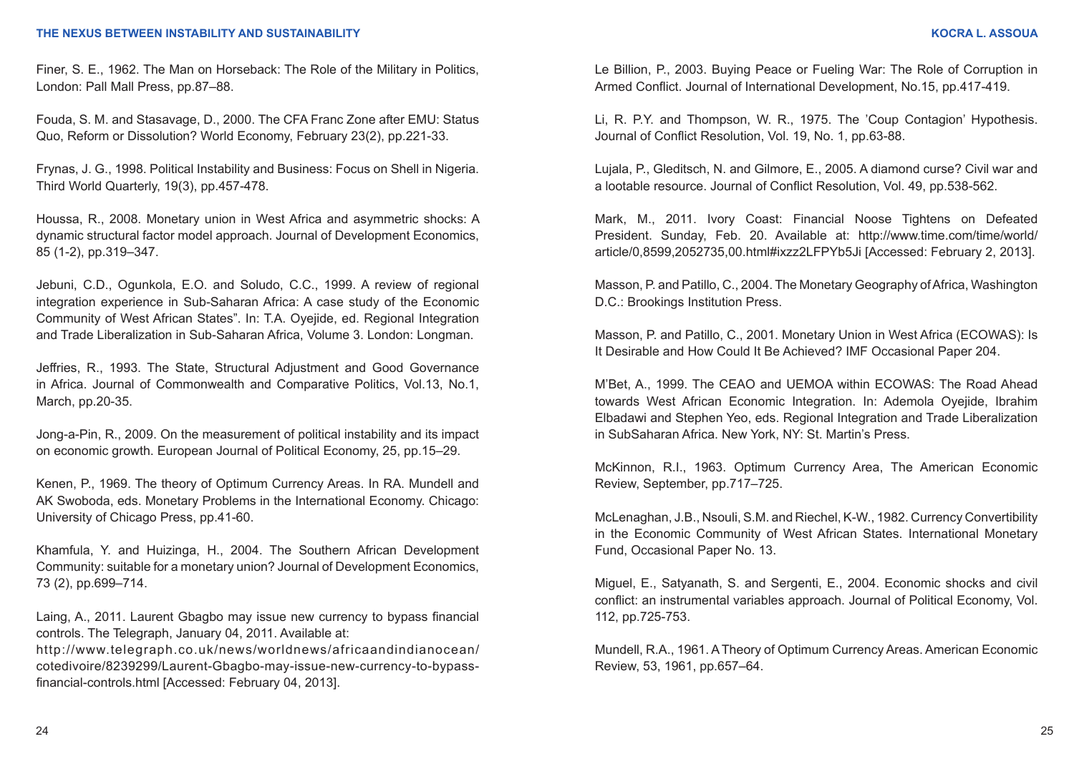Finer, S. E., 1962. The Man on Horseback: The Role of the Military in Politics, London: Pall Mall Press, pp.87–88.

Fouda, S. M. and Stasavage, D., 2000. The CFA Franc Zone after EMU: Status Quo, Reform or Dissolution? World Economy, February 23(2), pp.221-33.

Frynas, J. G., 1998. Political Instability and Business: Focus on Shell in Nigeria. Third World Quarterly, 19(3), pp.457-478.

Houssa, R., 2008. Monetary union in West Africa and asymmetric shocks: A dynamic structural factor model approach. Journal of Development Economics, 85 (1-2), pp.319–347.

Jebuni, C.D., Ogunkola, E.O. and Soludo, C.C., 1999. A review of regional integration experience in Sub-Saharan Africa: A case study of the Economic Community of West African States". In: T.A. Oyejide, ed. Regional Integration and Trade Liberalization in Sub-Saharan Africa, Volume 3. London: Longman.

Jeffries, R., 1993. The State, Structural Adjustment and Good Governance in Africa. Journal of Commonwealth and Comparative Politics, Vol.13, No.1, March, pp.20-35.

Jong-a-Pin, R., 2009. On the measurement of political instability and its impact on economic growth. European Journal of Political Economy, 25, pp.15–29.

Kenen, P., 1969. The theory of Optimum Currency Areas. In RA. Mundell and AK Swoboda, eds. Monetary Problems in the International Economy. Chicago: University of Chicago Press, pp.41-60.

Khamfula, Y. and Huizinga, H., 2004. The Southern African Development Community: suitable for a monetary union? Journal of Development Economics, 73 (2), pp.699–714.

Laing, A., 2011. Laurent Gbagbo may issue new currency to bypass financial controls. The Telegraph, January 04, 2011. Available at:

[http://www.telegraph.co.uk/news/worldnews/africaandindianocean/](http://www.telegraph.co.uk/news/worldnews/africaandindianocean/cotedivoire/8239299/Laurent-Gbagbo-may-issue-new-currency-to-bypass-financial-controls.html ) [cotedivoire/8239299/Laurent-Gbagbo-may-issue-new-currency-to-bypass](http://www.telegraph.co.uk/news/worldnews/africaandindianocean/cotedivoire/8239299/Laurent-Gbagbo-may-issue-new-currency-to-bypass-financial-controls.html )[financial-controls.html](http://www.telegraph.co.uk/news/worldnews/africaandindianocean/cotedivoire/8239299/Laurent-Gbagbo-may-issue-new-currency-to-bypass-financial-controls.html ) [Accessed: February 04, 2013].

Le Billion, P., 2003. Buying Peace or Fueling War: The Role of Corruption in Armed Conflict. Journal of International Development, No.15, pp.417-419.

Li, R. P.Y. and Thompson, W. R., 1975. The 'Coup Contagion' Hypothesis. Journal of Conflict Resolution, Vol. 19, No. 1, pp.63-88.

Lujala, P., Gleditsch, N. and Gilmore, E., 2005. A diamond curse? Civil war and a lootable resource. Journal of Conflict Resolution, Vol. 49, pp.538-562.

Mark, M., 2011. Ivory Coast: Financial Noose Tightens on Defeated President. Sunday, Feb. 20. Available at: [http://www.time.com/time/world/](
http://www.time.com/time/world/article/0,8599,2052735,00.html#ixzz2LFPYb5Ji) [article/0,8599,2052735,00.html#ixzz2LFPYb5Ji](
http://www.time.com/time/world/article/0,8599,2052735,00.html#ixzz2LFPYb5Ji) [Accessed: February 2, 2013].

Masson, P. and Patillo, C., 2004. The Monetary Geography of Africa, Washington D.C.: Brookings Institution Press.

Masson, P. and Patillo, C., 2001. Monetary Union in West Africa (ECOWAS): Is It Desirable and How Could It Be Achieved? IMF Occasional Paper 204.

M'Bet, A., 1999. The CEAO and UEMOA within ECOWAS: The Road Ahead towards West African Economic Integration. In: Ademola Oyejide, Ibrahim Elbadawi and Stephen Yeo, eds. Regional Integration and Trade Liberalization in SubSaharan Africa. New York, NY: St. Martin's Press.

McKinnon, R.I., 1963. Optimum Currency Area, The American Economic Review, September, pp.717–725.

McLenaghan, J.B., Nsouli, S.M. and Riechel, K-W., 1982. Currency Convertibility in the Economic Community of West African States. International Monetary Fund, Occasional Paper No. 13.

Miguel, E., Satyanath, S. and Sergenti, E., 2004. Economic shocks and civil conflict: an instrumental variables approach. Journal of Political Economy, Vol. 112, pp.725-753.

Mundell, R.A., 1961. A Theory of Optimum Currency Areas. American Economic Review, 53, 1961, pp.657–64.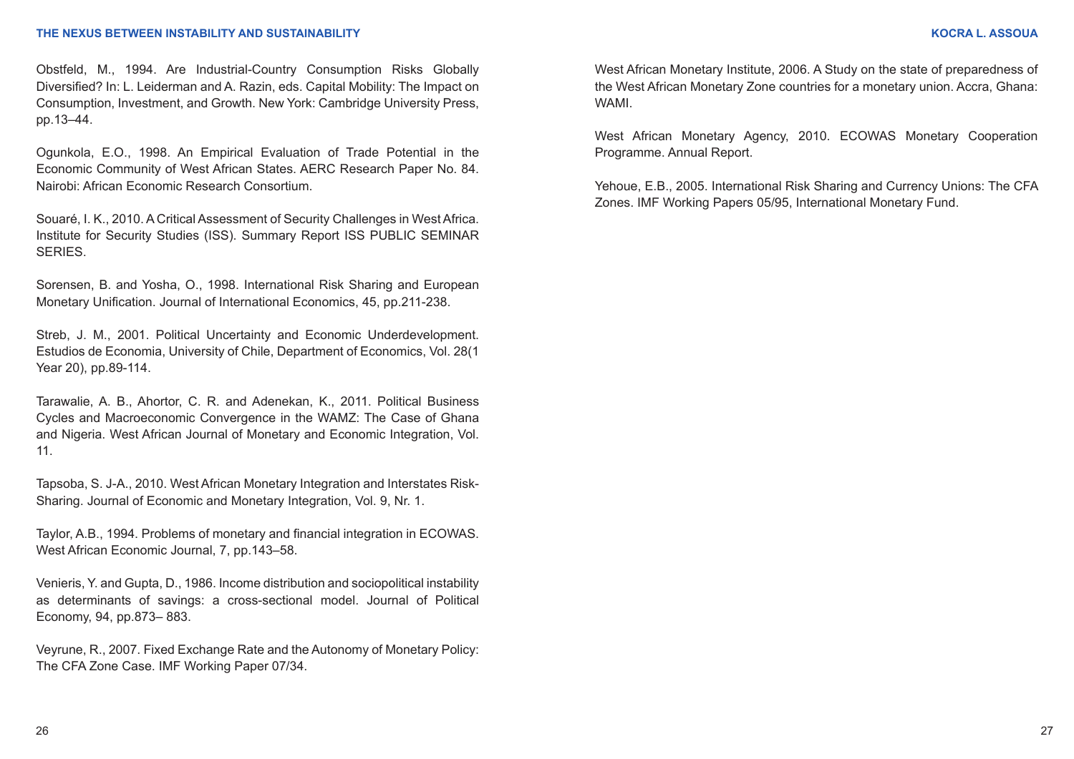Obstfeld, M., 1994. Are Industrial-Country Consumption Risks Globally Diversified? In: L. Leiderman and A. Razin, eds. Capital Mobility: The Impact on Consumption, Investment, and Growth. New York: Cambridge University Press, pp.13–44.

Ogunkola, E.O., 1998. An Empirical Evaluation of Trade Potential in the Economic Community of West African States. AERC Research Paper No. 84. Nairobi: African Economic Research Consortium.

Souaré, I. K., 2010. A Critical Assessment of Security Challenges in West Africa. Institute for Security Studies (ISS). Summary Report ISS PUBLIC SEMINAR SERIES.

Sorensen, B. and Yosha, O., 1998. International Risk Sharing and European Monetary Unification. Journal of International Economics, 45, pp.211-238.

Streb, J. M., 2001. Political Uncertainty and Economic Underdevelopment. Estudios de Economia, University of Chile, Department of Economics, Vol. 28(1 Year 20), pp.89-114.

Tarawalie, A. B., Ahortor, C. R. and Adenekan, K., 2011. Political Business Cycles and Macroeconomic Convergence in the WAMZ: The Case of Ghana and Nigeria. West African Journal of Monetary and Economic Integration, Vol. 11.

Tapsoba, S. J-A., 2010. West African Monetary Integration and Interstates Risk-Sharing. Journal of Economic and Monetary Integration, Vol. 9, Nr. 1.

Taylor, A.B., 1994. Problems of monetary and financial integration in ECOWAS. West African Economic Journal, 7, pp.143–58.

Venieris, Y. and Gupta, D., 1986. Income distribution and sociopolitical instability as determinants of savings: a cross-sectional model. Journal of Political Economy, 94, pp.873– 883.

Veyrune, R., 2007. Fixed Exchange Rate and the Autonomy of Monetary Policy: The CFA Zone Case. IMF Working Paper 07/34.

West African Monetary Institute, 2006. A Study on the state of preparedness of the West African Monetary Zone countries for a monetary union. Accra, Ghana: WAMI.

West African Monetary Agency, 2010. ECOWAS Monetary Cooperation Programme. Annual Report.

Yehoue, E.B., 2005. International Risk Sharing and Currency Unions: The CFA Zones. IMF Working Papers 05/95, International Monetary Fund.